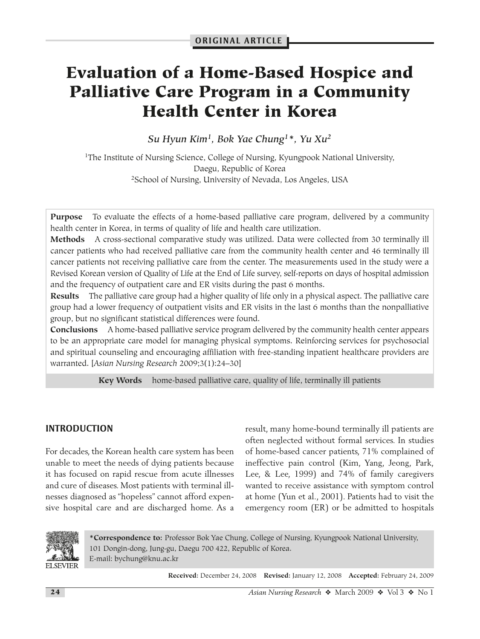# **Evaluation of a Home-Based Hospice and Palliative Care Program in a Community Health Center in Korea**

*Su Hyun Kim1, Bok Yae Chung1\*, Yu Xu2*

<sup>1</sup>The Institute of Nursing Science, College of Nursing, Kyungpook National University, Daegu, Republic of Korea 2School of Nursing, University of Nevada, Los Angeles, USA

**Purpose** To evaluate the effects of a home-based palliative care program, delivered by a community health center in Korea, in terms of quality of life and health care utilization.

**Methods** A cross-sectional comparative study was utilized. Data were collected from 30 terminally ill cancer patients who had received palliative care from the community health center and 46 terminally ill cancer patients not receiving palliative care from the center. The measurements used in the study were a Revised Korean version of Quality of Life at the End of Life survey, self-reports on days of hospital admission and the frequency of outpatient care and ER visits during the past 6 months.

**Results** The palliative care group had a higher quality of life only in a physical aspect. The palliative care group had a lower frequency of outpatient visits and ER visits in the last 6 months than the nonpalliative group, but no significant statistical differences were found.

**Conclusions** A home-based palliative service program delivered by the community health center appears to be an appropriate care model for managing physical symptoms. Reinforcing services for psychosocial and spiritual counseling and encouraging affiliation with free-standing inpatient healthcare providers are warranted. [*Asian Nursing Research* 2009;3(1):24–30]

**Key Words** home-based palliative care, quality of life, terminally ill patients

## **INTRODUCTION**

For decades, the Korean health care system has been unable to meet the needs of dying patients because it has focused on rapid rescue from acute illnesses and cure of diseases. Most patients with terminal illnesses diagnosed as "hopeless" cannot afford expensive hospital care and are discharged home. As a

result, many home-bound terminally ill patients are often neglected without formal services. In studies of home-based cancer patients, 71% complained of ineffective pain control (Kim, Yang, Jeong, Park, Lee, & Lee, 1999) and 74% of family caregivers wanted to receive assistance with symptom control at home (Yun et al., 2001). Patients had to visit the emergency room (ER) or be admitted to hospitals



**\*Correspondence to:** Professor Bok Yae Chung, College of Nursing, Kyungpook National University, 101 Dongin-dong, Jung-gu, Daegu 700 422, Republic of Korea. E-mail: bychung@knu.ac.kr

**Received:** December 24, 2008 **Revised:** January 12, 2008 **Accepted:** February 24, 2009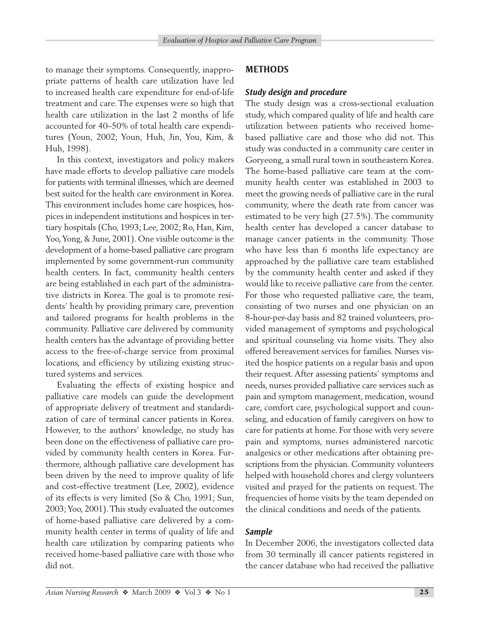to manage their symptoms. Consequently, inappropriate patterns of health care utilization have led to increased health care expenditure for end-of-life treatment and care. The expenses were so high that health care utilization in the last 2 months of life accounted for 40–50% of total health care expenditures (Youn, 2002; Youn, Huh, Jin, You, Kim, & Huh, 1998).

In this context, investigators and policy makers have made efforts to develop palliative care models for patients with terminal illnesses, which are deemed best suited for the health care environment in Korea. This environment includes home care hospices, hospices in independent institutions and hospices in tertiary hospitals (Cho, 1993; Lee, 2002; Ro, Han, Kim, Yoo,Yong, & June, 2001). One visible outcome is the development of a home-based palliative care program implemented by some government-run community health centers. In fact, community health centers are being established in each part of the administrative districts in Korea. The goal is to promote residents' health by providing primary care, prevention and tailored programs for health problems in the community. Palliative care delivered by community health centers has the advantage of providing better access to the free-of-charge service from proximal locations, and efficiency by utilizing existing structured systems and services.

Evaluating the effects of existing hospice and palliative care models can guide the development of appropriate delivery of treatment and standardization of care of terminal cancer patients in Korea. However, to the authors' knowledge, no study has been done on the effectiveness of palliative care provided by community health centers in Korea. Furthermore, although palliative care development has been driven by the need to improve quality of life and cost-effective treatment (Lee, 2002), evidence of its effects is very limited (So & Cho, 1991; Sun, 2003;Yoo, 2001). This study evaluated the outcomes of home-based palliative care delivered by a community health center in terms of quality of life and health care utilization by comparing patients who received home-based palliative care with those who did not.

### **METHODS**

#### *Study design and procedure*

The study design was a cross-sectional evaluation study, which compared quality of life and health care utilization between patients who received homebased palliative care and those who did not. This study was conducted in a community care center in Goryeong, a small rural town in southeastern Korea. The home-based palliative care team at the community health center was established in 2003 to meet the growing needs of palliative care in the rural community, where the death rate from cancer was estimated to be very high (27.5%). The community health center has developed a cancer database to manage cancer patients in the community. Those who have less than 6 months life expectancy are approached by the palliative care team established by the community health center and asked if they would like to receive palliative care from the center. For those who requested palliative care, the team, consisting of two nurses and one physician on an 8-hour-per-day basis and 82 trained volunteers, provided management of symptoms and psychological and spiritual counseling via home visits. They also offered bereavement services for families. Nurses visited the hospice patients on a regular basis and upon their request. After assessing patients' symptoms and needs, nurses provided palliative care services such as pain and symptom management, medication, wound care, comfort care, psychological support and counseling, and education of family caregivers on how to care for patients at home. For those with very severe pain and symptoms, nurses administered narcotic analgesics or other medications after obtaining prescriptions from the physician. Community volunteers helped with household chores and clergy volunteers visited and prayed for the patients on request. The frequencies of home visits by the team depended on the clinical conditions and needs of the patients.

#### *Sample*

In December 2006, the investigators collected data from 30 terminally ill cancer patients registered in the cancer database who had received the palliative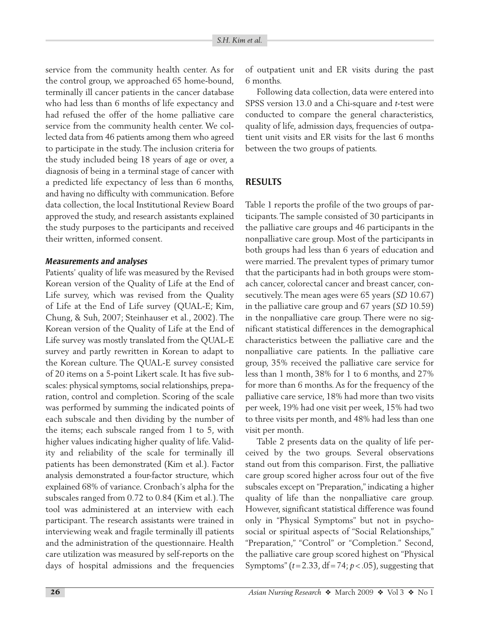service from the community health center. As for the control group, we approached 65 home-bound, terminally ill cancer patients in the cancer database who had less than 6 months of life expectancy and had refused the offer of the home palliative care service from the community health center. We collected data from 46 patients among them who agreed to participate in the study. The inclusion criteria for the study included being 18 years of age or over, a diagnosis of being in a terminal stage of cancer with a predicted life expectancy of less than 6 months, and having no difficulty with communication. Before data collection, the local Institutional Review Board approved the study, and research assistants explained the study purposes to the participants and received their written, informed consent.

#### *Measurements and analyses*

Patients' quality of life was measured by the Revised Korean version of the Quality of Life at the End of Life survey, which was revised from the Quality of Life at the End of Life survey (QUAL-E; Kim, Chung, & Suh, 2007; Steinhauser et al., 2002). The Korean version of the Quality of Life at the End of Life survey was mostly translated from the QUAL-E survey and partly rewritten in Korean to adapt to the Korean culture. The QUAL-E survey consisted of 20 items on a 5-point Likert scale. It has five subscales: physical symptoms, social relationships, preparation, control and completion. Scoring of the scale was performed by summing the indicated points of each subscale and then dividing by the number of the items; each subscale ranged from 1 to 5, with higher values indicating higher quality of life. Validity and reliability of the scale for terminally ill patients has been demonstrated (Kim et al.). Factor analysis demonstrated a four-factor structure, which explained 68% of variance. Cronbach's alpha for the subscales ranged from 0.72 to 0.84 (Kim et al.).The tool was administered at an interview with each participant. The research assistants were trained in interviewing weak and fragile terminally ill patients and the administration of the questionnaire. Health care utilization was measured by self-reports on the days of hospital admissions and the frequencies of outpatient unit and ER visits during the past 6 months.

Following data collection, data were entered into SPSS version 13.0 and a Chi-square and *t*-test were conducted to compare the general characteristics, quality of life, admission days, frequencies of outpatient unit visits and ER visits for the last 6 months between the two groups of patients.

#### **RESULTS**

Table 1 reports the profile of the two groups of participants. The sample consisted of 30 participants in the palliative care groups and 46 participants in the nonpalliative care group. Most of the participants in both groups had less than 6 years of education and were married. The prevalent types of primary tumor that the participants had in both groups were stomach cancer, colorectal cancer and breast cancer, consecutively. The mean ages were 65 years (*SD* 10.67) in the palliative care group and 67 years (*SD* 10.59) in the nonpalliative care group. There were no significant statistical differences in the demographical characteristics between the palliative care and the nonpalliative care patients. In the palliative care group, 35% received the palliative care service for less than 1 month, 38% for 1 to 6 months, and 27% for more than 6 months. As for the frequency of the palliative care service, 18% had more than two visits per week, 19% had one visit per week, 15% had two to three visits per month, and 48% had less than one visit per month.

Table 2 presents data on the quality of life perceived by the two groups. Several observations stand out from this comparison. First, the palliative care group scored higher across four out of the five subscales except on "Preparation," indicating a higher quality of life than the nonpalliative care group. However, significant statistical difference was found only in "Physical Symptoms" but not in psychosocial or spiritual aspects of "Social Relationships," "Preparation," "Control" or "Completion." Second, the palliative care group scored highest on "Physical Symptoms"  $(t=2.33, df=74; p<.05)$ , suggesting that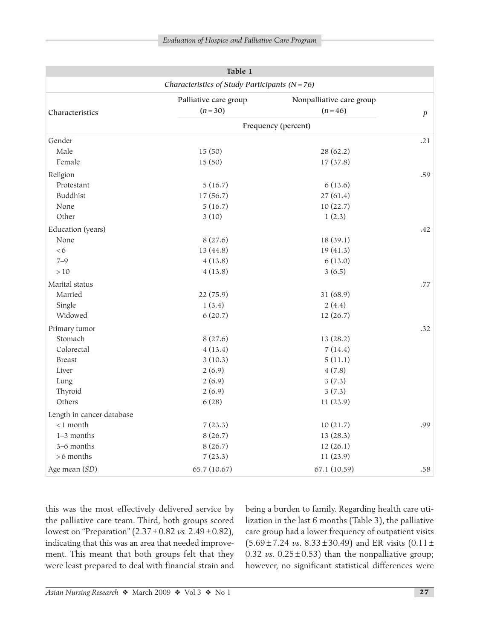| Table 1<br>Characteristics of Study Participants ( $N = 76$ ) |                     |              |     |  |  |  |
|---------------------------------------------------------------|---------------------|--------------|-----|--|--|--|
|                                                               |                     |              |     |  |  |  |
|                                                               | Frequency (percent) |              |     |  |  |  |
| Gender                                                        |                     |              | .21 |  |  |  |
| Male                                                          | 15(50)              | 28 (62.2)    |     |  |  |  |
| Female                                                        | 15(50)              | 17 (37.8)    |     |  |  |  |
| Religion                                                      |                     |              | .59 |  |  |  |
| Protestant                                                    | 5(16.7)             | 6(13.6)      |     |  |  |  |
| <b>Buddhist</b>                                               | 17 (56.7)           | 27(61.4)     |     |  |  |  |
| None                                                          | 5(16.7)             | 10(22.7)     |     |  |  |  |
| Other                                                         | 3(10)               | 1(2.3)       |     |  |  |  |
| Education (years)                                             |                     |              | .42 |  |  |  |
| None                                                          | 8(27.6)             | 18 (39.1)    |     |  |  |  |
| <6                                                            | 13 (44.8)           | 19 (41.3)    |     |  |  |  |
| $7 - 9$                                                       | 4(13.8)             | 6(13.0)      |     |  |  |  |
| >10                                                           | 4(13.8)             | 3(6.5)       |     |  |  |  |
| Marital status                                                |                     |              | .77 |  |  |  |
| Married                                                       | 22 (75.9)           | 31 (68.9)    |     |  |  |  |
| Single                                                        | 1(3.4)              | 2(4.4)       |     |  |  |  |
| Widowed                                                       | 6(20.7)             | 12(26.7)     |     |  |  |  |
| Primary tumor                                                 |                     |              | .32 |  |  |  |
| Stomach                                                       | 8(27.6)             | 13(28.2)     |     |  |  |  |
| Colorectal                                                    | 4(13.4)             | 7(14.4)      |     |  |  |  |
| <b>Breast</b>                                                 | 3(10.3)             | 5(11.1)      |     |  |  |  |
| Liver                                                         | 2(6.9)              | 4(7.8)       |     |  |  |  |
| Lung                                                          | 2(6.9)              | 3(7.3)       |     |  |  |  |
| Thyroid                                                       | 2(6.9)              | 3(7.3)       |     |  |  |  |
| Others                                                        | 6(28)               | 11(23.9)     |     |  |  |  |
| Length in cancer database                                     |                     |              |     |  |  |  |
| $<$ 1 month                                                   | 7(23.3)             | 10(21.7)     | .99 |  |  |  |
| 1-3 months                                                    | 8(26.7)             | 13 (28.3)    |     |  |  |  |
| 3-6 months                                                    | 8(26.7)             | 12(26.1)     |     |  |  |  |
| $>6$ months                                                   | 7(23.3)             | 11 (23.9)    |     |  |  |  |
| Age mean (SD)                                                 | 65.7 (10.67)        | 67.1 (10.59) | .58 |  |  |  |

this was the most effectively delivered service by the palliative care team. Third, both groups scored lowest on "Preparation" (2.37 ± 0.82 *vs.* 2.49 ± 0.82), indicating that this was an area that needed improvement. This meant that both groups felt that they were least prepared to deal with financial strain and

being a burden to family. Regarding health care utilization in the last 6 months (Table 3), the palliative care group had a lower frequency of outpatient visits (5.69 ± 7.24 *vs*. 8.33 ± 30.49) and ER visits (0.11 ± 0.32 *vs*.  $0.25 \pm 0.53$ ) than the nonpalliative group; however, no significant statistical differences were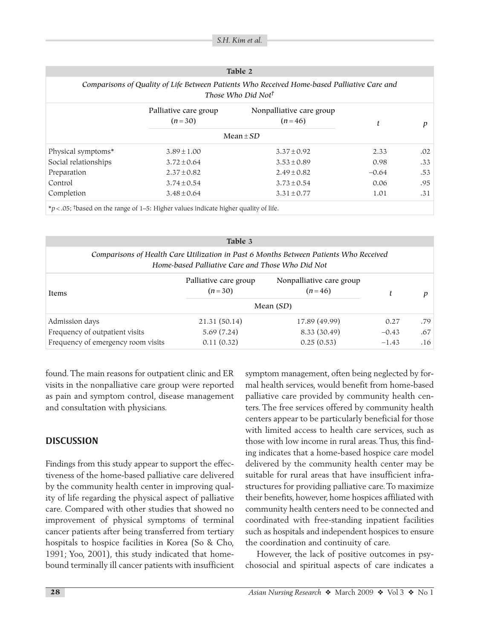| Table 2<br>Comparisons of Quality of Life Between Patients Who Received Home-based Palliative Care and<br>Those Who Did Not <sup>†</sup> |                 |                 |         |     |  |  |  |
|------------------------------------------------------------------------------------------------------------------------------------------|-----------------|-----------------|---------|-----|--|--|--|
|                                                                                                                                          |                 |                 |         |     |  |  |  |
| $Mean \pm SD$                                                                                                                            |                 |                 |         |     |  |  |  |
| Physical symptoms*                                                                                                                       | $3.89 \pm 1.00$ | $3.37 \pm 0.92$ | 2.33    | .02 |  |  |  |
| Social relationships                                                                                                                     | $3.72 \pm 0.64$ | $3.53 \pm 0.89$ | 0.98    | .33 |  |  |  |
| Preparation                                                                                                                              | $2.37 \pm 0.82$ | $2.49 \pm 0.82$ | $-0.64$ | .53 |  |  |  |
| Control                                                                                                                                  | $3.74 \pm 0.54$ | $3.73 \pm 0.54$ | 0.06    | .95 |  |  |  |
| Completion                                                                                                                               | $3.48 \pm 0.64$ | $3.31 \pm 0.77$ | 1.01    | .31 |  |  |  |

\**p* < .05; † based on the range of 1–5: Higher values indicate higher quality of life.

|                                                                                                                                           | Table 3                           |                                      |         |     |  |  |  |
|-------------------------------------------------------------------------------------------------------------------------------------------|-----------------------------------|--------------------------------------|---------|-----|--|--|--|
| Comparisons of Health Care Utilization in Past 6 Months Between Patients Who Received<br>Home-based Palliative Care and Those Who Did Not |                                   |                                      |         |     |  |  |  |
| Items                                                                                                                                     | Palliative care group<br>$(n=30)$ | Nonpalliative care group<br>$(n=46)$ | t       | D   |  |  |  |
|                                                                                                                                           | Mean $(SD)$                       |                                      |         |     |  |  |  |
| Admission days                                                                                                                            | 21.31 (50.14)                     | 17.89 (49.99)                        | 0.27    | .79 |  |  |  |
| Frequency of outpatient visits                                                                                                            | 5.69(7.24)                        | 8.33 (30.49)                         | $-0.43$ | .67 |  |  |  |
| Frequency of emergency room visits                                                                                                        | 0.11(0.32)                        | 0.25(0.53)                           | $-1.43$ | .16 |  |  |  |

found.The main reasons for outpatient clinic and ER visits in the nonpalliative care group were reported as pain and symptom control, disease management and consultation with physicians.

### **DISCUSSION**

Findings from this study appear to support the effectiveness of the home-based palliative care delivered by the community health center in improving quality of life regarding the physical aspect of palliative care. Compared with other studies that showed no improvement of physical symptoms of terminal cancer patients after being transferred from tertiary hospitals to hospice facilities in Korea (So & Cho, 1991; Yoo, 2001), this study indicated that homebound terminally ill cancer patients with insufficient symptom management, often being neglected by formal health services, would benefit from home-based palliative care provided by community health centers. The free services offered by community health centers appear to be particularly beneficial for those with limited access to health care services, such as those with low income in rural areas. Thus, this finding indicates that a home-based hospice care model delivered by the community health center may be suitable for rural areas that have insufficient infrastructures for providing palliative care.To maximize their benefits, however, home hospices affiliated with community health centers need to be connected and coordinated with free-standing inpatient facilities such as hospitals and independent hospices to ensure the coordination and continuity of care.

However, the lack of positive outcomes in psychosocial and spiritual aspects of care indicates a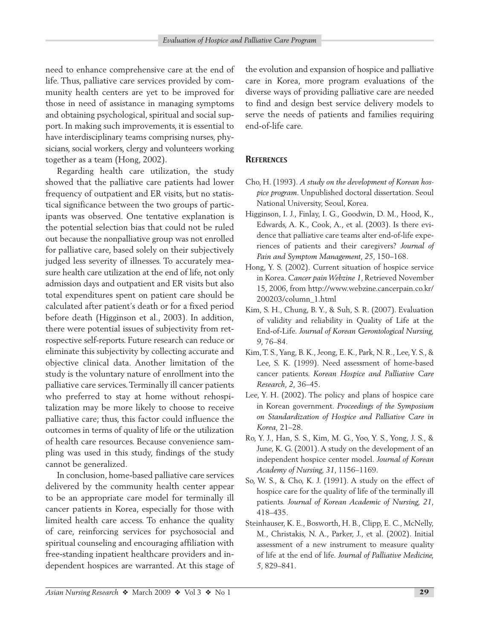need to enhance comprehensive care at the end of life. Thus, palliative care services provided by community health centers are yet to be improved for those in need of assistance in managing symptoms and obtaining psychological, spiritual and social support. In making such improvements, it is essential to have interdisciplinary teams comprising nurses, physicians, social workers, clergy and volunteers working together as a team (Hong, 2002).

Regarding health care utilization, the study showed that the palliative care patients had lower frequency of outpatient and ER visits, but no statistical significance between the two groups of participants was observed. One tentative explanation is the potential selection bias that could not be ruled out because the nonpalliative group was not enrolled for palliative care, based solely on their subjectively judged less severity of illnesses. To accurately measure health care utilization at the end of life, not only admission days and outpatient and ER visits but also total expenditures spent on patient care should be calculated after patient's death or for a fixed period before death (Higginson et al., 2003). In addition, there were potential issues of subjectivity from retrospective self-reports. Future research can reduce or eliminate this subjectivity by collecting accurate and objective clinical data. Another limitation of the study is the voluntary nature of enrollment into the palliative care services.Terminally ill cancer patients who preferred to stay at home without rehospitalization may be more likely to choose to receive palliative care; thus, this factor could influence the outcomes in terms of quality of life or the utilization of health care resources. Because convenience sampling was used in this study, findings of the study cannot be generalized.

In conclusion, home-based palliative care services delivered by the community health center appear to be an appropriate care model for terminally ill cancer patients in Korea, especially for those with limited health care access. To enhance the quality of care, reinforcing services for psychosocial and spiritual counseling and encouraging affiliation with free-standing inpatient healthcare providers and independent hospices are warranted. At this stage of the evolution and expansion of hospice and palliative care in Korea, more program evaluations of the diverse ways of providing palliative care are needed to find and design best service delivery models to serve the needs of patients and families requiring end-of-life care.

#### **REFERENCES**

- Cho, H. (1993). *A study on the development of Korean hospice program*. Unpublished doctoral dissertation. Seoul National University, Seoul, Korea.
- Higginson, I. J., Finlay, I. G., Goodwin, D. M., Hood, K., Edwards, A. K., Cook, A., et al. (2003). Is there evidence that palliative care teams alter end-of-life experiences of patients and their caregivers? *Journal of Pain and Symptom Management, 25*, 150–168.
- Hong, Y. S. (2002). Current situation of hospice service in Korea. *Cancer pain Webzine 1*, Retrieved November 15, 2006, from http://www.webzine.cancerpain.co.kr/ 200203/column\_1.html
- Kim, S. H., Chung, B. Y., & Suh, S. R. (2007). Evaluation of validity and reliability in Quality of Life at the End-of-Life. *Journal of Korean Gerontological Nursing, 9*, 76–84.
- Kim,T. S.,Yang, B. K., Jeong, E. K., Park, N. R., Lee,Y. S., & Lee, S. K. (1999). Need assessment of home-based cancer patients. *Korean Hospice and Palliative Care Research, 2,* 36–45.
- Lee, Y. H. (2002). The policy and plans of hospice care in Korean government. *Proceedings of the Symposium on Standardization of Hospice and Palliative Care in Korea,* 21–28.
- Ro, Y. J., Han, S. S., Kim, M. G., Yoo, Y. S., Yong, J. S., & June, K. G. (2001). A study on the development of an independent hospice center model. *Journal of Korean Academy of Nursing, 31*, 1156–1169.
- So, W. S., & Cho, K. J. (1991). A study on the effect of hospice care for the quality of life of the terminally ill patients. *Journal of Korean Academic of Nursing, 21*, 418–435.
- Steinhauser, K. E., Bosworth, H. B., Clipp, E. C., McNelly, M., Christakis, N. A., Parker, J., et al. (2002). Initial assessment of a new instrument to measure quality of life at the end of life. *Journal of Palliative Medicine, 5*, 829–841.